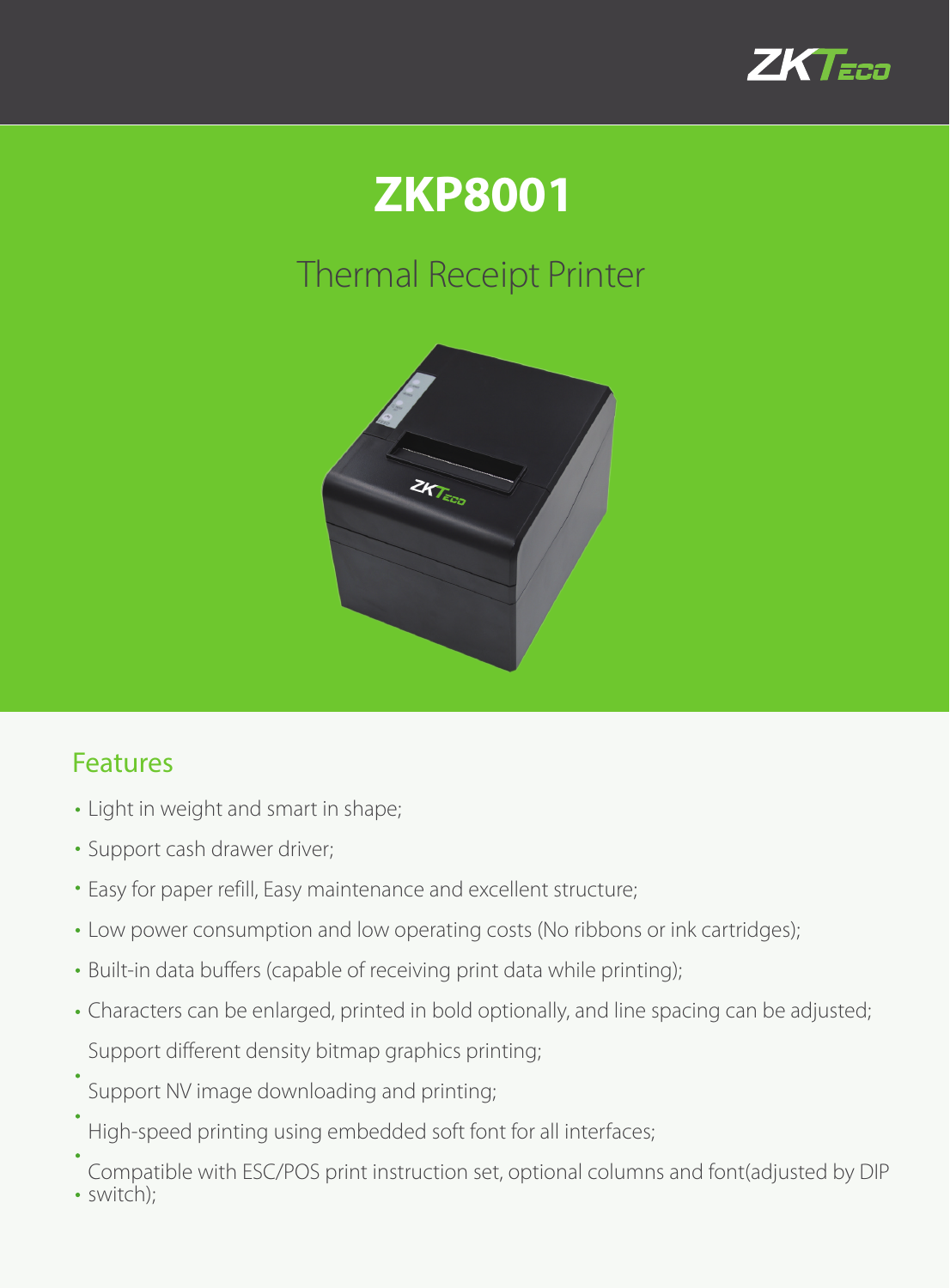

## **ZKP8001**

## Thermal Receipt Printer



## Features

- Light in weight and smart in shape;
- Support cash drawer driver;
- Easy for paper refill, Easy maintenance and excellent structure;
- Low power consumption and low operating costs (No ribbons or ink cartridges);
- Built-in data buffers (capable of receiving print data while printing);
- Characters can be enlarged, printed in bold optionally, and line spacing can be adjusted; Support different density bitmap graphics printing;
- Support NV image downloading and printing;
- High-speed printing using embedded soft font for all interfaces;
- Compatible with ESC/POS print instruction set, optional columns and font(adjusted by DIP switch);